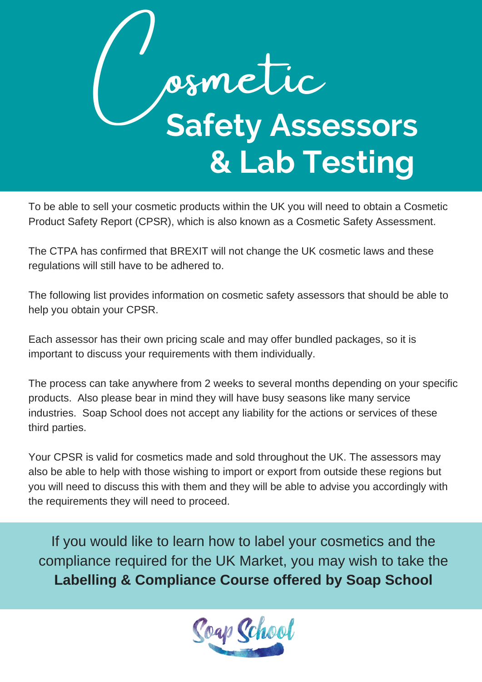

To be able to sell your cosmetic products within the UK you will need to obtain a Cosmetic Product Safety Report (CPSR), which is also known as a Cosmetic Safety Assessment.

The CTPA has confirmed that BREXIT will not change the UK cosmetic laws and these regulations will still have to be adhered to.

The following list provides information on cosmetic safety assessors that should be able to help you obtain your CPSR.

Each assessor has their own pricing scale and may offer bundled packages, so it is important to discuss your requirements with them individually.

The process can take anywhere from 2 weeks to several months depending on your specific products. Also please bear in mind they will have busy seasons like many service industries. Soap School does not accept any liability for the actions or services of these third parties.

Your CPSR is valid for cosmetics made and sold throughout the UK. The assessors may also be able to help with those wishing to import or export from outside these regions but you will need to discuss this with them and they will be able to advise you accordingly with the requirements they will need to proceed.

If you would like to learn how to label your cosmetics and the compliance required for the UK Market, you may wish to take the **Labelling & [Compliance](http://www.soapschoolonline.com/) Course offered by Soap School**

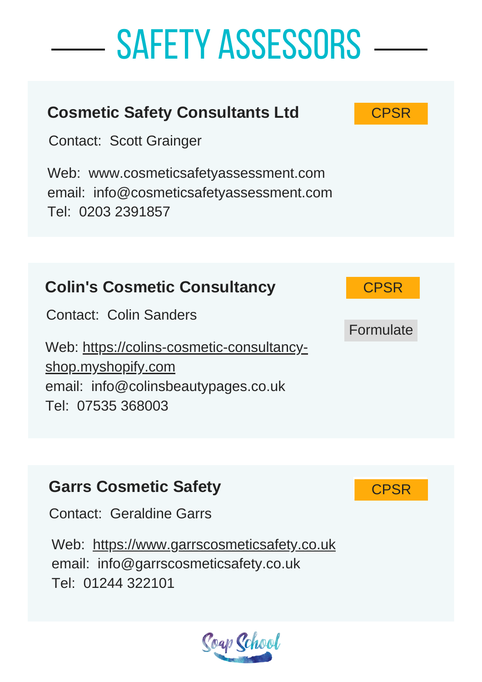

Web: [h](http://www.garrscosmeticsafety.co.uk/)[ttps://www.garrscosmeticsafety.co.uk](https://www.garrscosmeticsafety.co.uk/) email: info@garrscosmeticsafety.co.uk Tel: 01244 322101

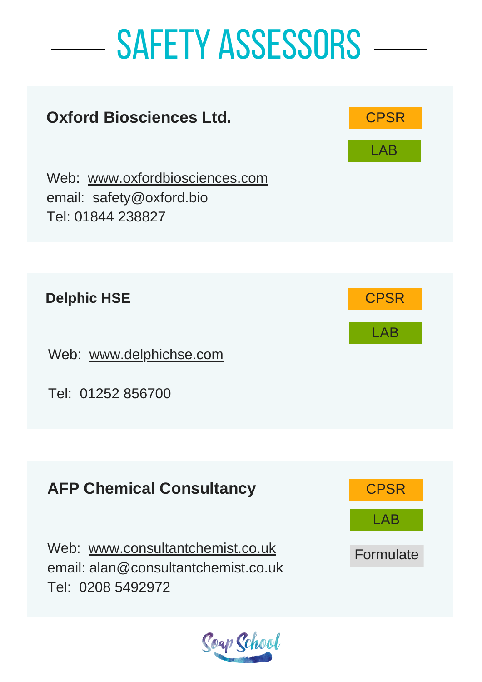

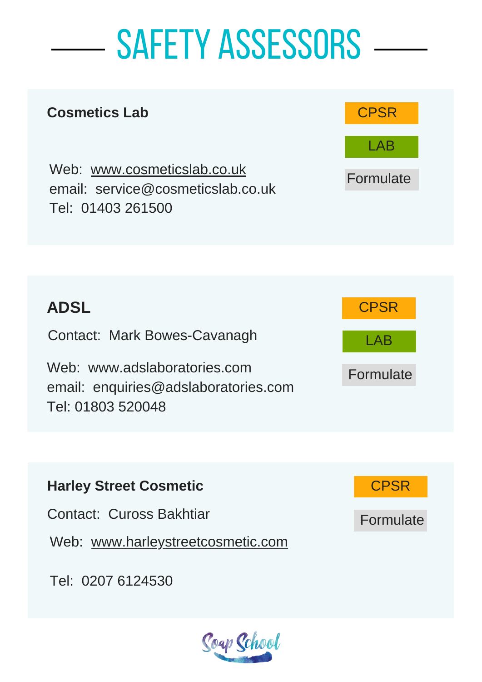#### **Cosmetics Lab**

Web: [www.cosmeticslab.co.uk](http://www.cosmeticslab.co.uk/) email: [service@cosmeticslab.co.uk](http://www.cosmeticslab.co.uk/) Tel: 01403 261500





|  | <b>Harley Street Cosmetic</b> |
|--|-------------------------------|

Contact: Cuross Bakhtiar

Web: [www.harleystreetcosmetic.com](http://www.harleystreetcosmetic.com/)

Tel: 0207 6124530





Formulate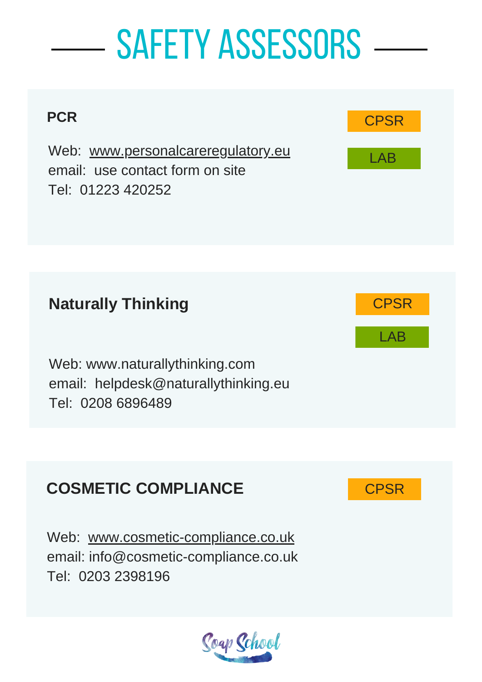

Web: [www.cosmetic-compliance.co.uk](http://www.cosmetic-compliance.co.uk/) email: info@cosmetic-compliance.co.uk Tel: 0203 2398196